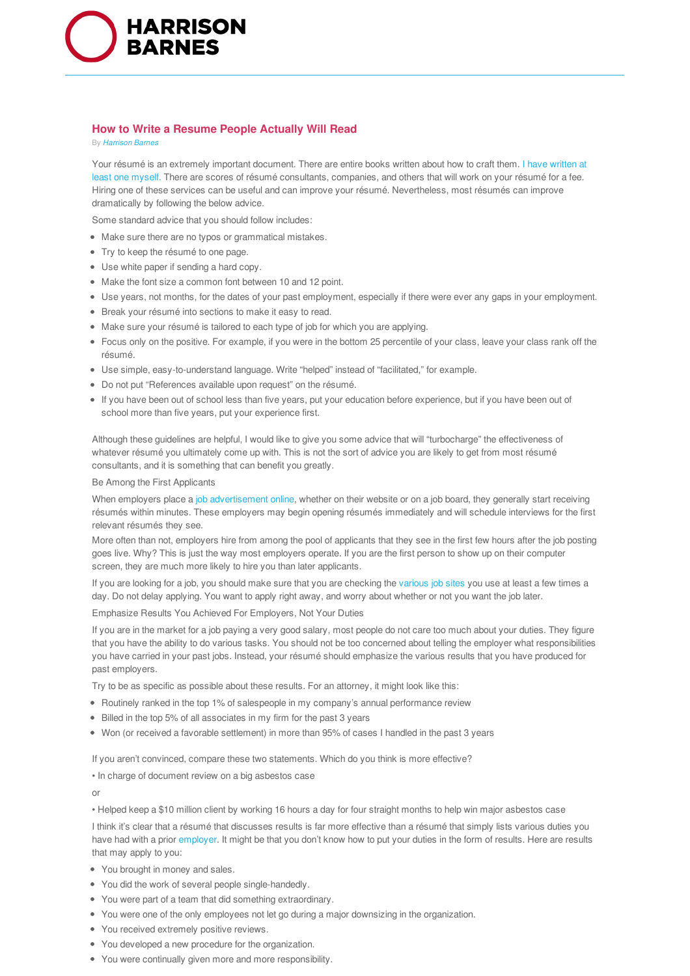

## **How to Write a Resume People Actually Will Read**

By *Harrison Barnes*

Your résumé is an extremely important document. There are entire books written about how to craft them. I have written at least one myself. There are scores of résumé consultants, companies, and others that will work on your résumé for a fee. Hiring one of these services can be useful and can improve your résumé. Nevertheless, most résumés can improve dramatically by following the below advice.

Some standard advice that you should follow includes:

- Make sure there are no typos or grammatical mistakes.
- Try to keep the résumé to one page.
- Use white paper if sending a hard copy.
- Make the font size a common font between 10 and 12 point.
- Use years, not months, for the dates of your past employment, especially if there were ever any gaps in your employment.
- Break your résumé into sections to make it easy to read.
- Make sure your résumé is tailored to each type of job for which you are applying.
- Focus only on the positive. For example, if you were in the bottom 25 percentile of your class, leave your class rank off the résumé.
- Use simple, easy-to-understand language. Write "helped" instead of "facilitated," for example.
- Do not put "References available upon request" on the résumé.
- If you have been out of school less than five years, put your education before experience, but if you have been out of school more than five years, put your experience first.

Although these guidelines are helpful, I would like to give you some advice that will "turbocharge" the effectiveness of whatever résumé you ultimately come up with. This is not the sort of advice you are likely to get from most résumé consultants, and it is something that can benefit you greatly.

Be Among the First Applicants

When employers place a job advertisement online, whether on their website or on a job board, they generally start receiving résumés within minutes. These employers may begin opening résumés immediately and will schedule interviews for the first relevant résumés they see.

More often than not, employers hire from among the pool of applicants that they see in the first few hours after the job posting goes live. Why? This is just the way most employers operate. If you are the first person to show up on their computer screen, they are much more likely to hire you than later applicants.

If you are looking for a job, you should make sure that you are checking the various job sites you use at least a few times a day. Do not delay applying. You want to apply right away, and worry about whether or not you want the job later.

Emphasize Results You Achieved For Employers, Not Your Duties

If you are in the market for a job paying a very good salary, most people do not care too much about your duties. They figure that you have the ability to do various tasks. You should not be too concerned about telling the employer what responsibilities you have carried in your past jobs. Instead, your résumé should emphasize the various results that you have produced for past employers.

Try to be as specific as possible about these results. For an attorney, it might look like this:

- Routinely ranked in the top 1% of salespeople in my company's annual performance review
- Billed in the top 5% of all associates in my firm for the past 3 years
- Won (or received a favorable settlement) in more than 95% of cases I handled in the past 3 years

If you aren't convinced, compare these two statements. Which do you think is more effective?

• In charge of document review on a big asbestos case

or

• Helped keep a \$10 million client by working 16 hours a day for four straight months to help win major asbestos case

I think it's clear that a résumé that discusses results is far more effective than a résumé that simply lists various duties you have had with a prior employer. It might be that you don't know how to put your duties in the form of results. Here are results that may apply to you:

- You brought in money and sales.
- You did the work of several people single-handedly.
- You were part of a team that did something extraordinary.
- You were one of the only employees not let go during a major downsizing in the organization.
- You received extremely positive reviews.
- You developed a new procedure for the organization.
- You were continually given more and more responsibility.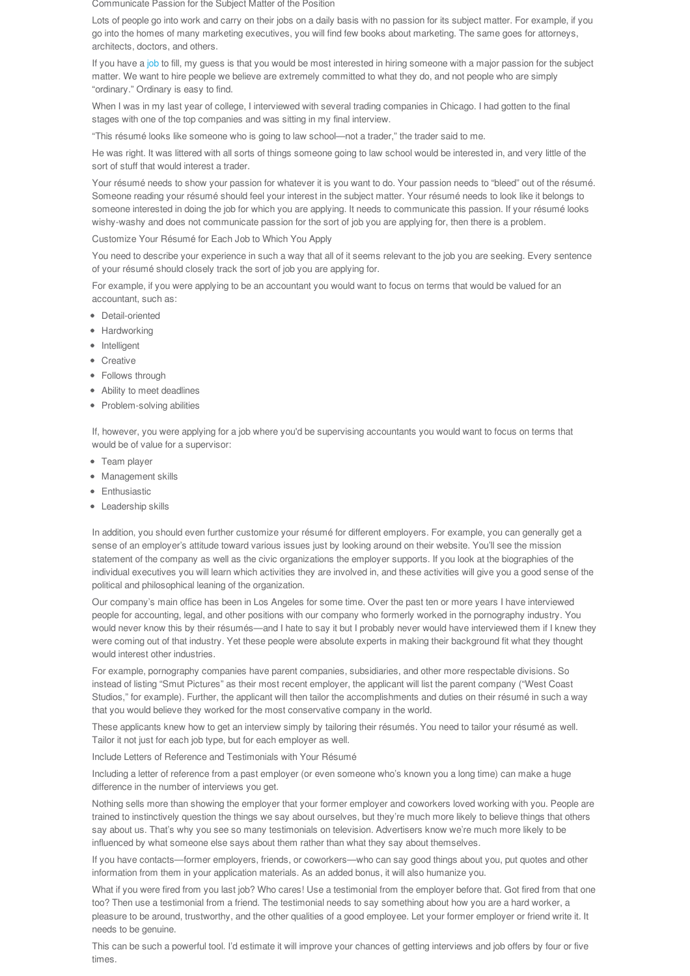Communicate Passion for the Subject Matter of the Position

Lots of people go into work and carry on their jobs on a daily basis with no passion for its subject matter. For example, if you go into the homes of many marketing executives, you will find few books about marketing. The same goes for attorneys, architects, doctors, and others.

If you have a job to fill, my guess is that you would be most interested in hiring someone with a major passion for the subject matter. We want to hire people we believe are extremely committed to what they do, and not people who are simply "ordinary." Ordinary is easy to find.

When I was in my last year of college, I interviewed with several trading companies in Chicago. I had gotten to the final stages with one of the top companies and was sitting in my final interview.

"This résumé looks like someone who is going to law school—not a trader," the trader said to me.

He was right. It was littered with all sorts of things someone going to law school would be interested in, and very little of the sort of stuff that would interest a trader.

Your résumé needs to show your passion for whatever it is you want to do. Your passion needs to "bleed" out of the résumé. Someone reading your résumé should feel your interest in the subject matter. Your résumé needs to look like it belongs to someone interested in doing the job for which you are applying. It needs to communicate this passion. If your résumé looks wishy-washy and does not communicate passion for the sort of job you are applying for, then there is a problem.

Customize Your Résumé for Each Job to Which You Apply

You need to describe your experience in such a way that all of it seems relevant to the job you are seeking. Every sentence of your résumé should closely track the sort of job you are applying for.

For example, if you were applying to be an accountant you would want to focus on terms that would be valued for an accountant, such as:

- Detail-oriented
- Hardworking
- Intelligent
- Creative
- Follows through
- Ability to meet deadlines
- Problem-solving abilities

If, however, you were applying for a job where you'd be supervising accountants you would want to focus on terms that would be of value for a supervisor:

- Team player
- Management skills
- Enthusiastic
- Leadership skills

In addition, you should even further customize your résumé for different employers. For example, you can generally get a sense of an employer's attitude toward various issues just by looking around on their website. You'll see the mission statement of the company as well as the civic organizations the employer supports. If you look at the biographies of the individual executives you will learn which activities they are involved in, and these activities will give you a good sense of the political and philosophical leaning of the organization.

Our company's main office has been in Los Angeles for some time. Over the past ten or more years I have interviewed people for accounting, legal, and other positions with our company who formerly worked in the pornography industry. You would never know this by their résumés—and I hate to say it but I probably never would have interviewed them if I knew they were coming out of that industry. Yet these people were absolute experts in making their background fit what they thought would interest other industries.

For example, pornography companies have parent companies, subsidiaries, and other more respectable divisions. So instead of listing "Smut Pictures" as their most recent employer, the applicant will list the parent company ("West Coast Studios," for example). Further, the applicant will then tailor the accomplishments and duties on their résumé in such a way that you would believe they worked for the most conservative company in the world.

These applicants knew how to get an interview simply by tailoring their résumés. You need to tailor your résumé as well. Tailor it not just for each job type, but for each employer as well.

Include Letters of Reference and Testimonials with Your Résumé

Including a letter of reference from a past employer (or even someone who's known you a long time) can make a huge difference in the number of interviews you get.

Nothing sells more than showing the employer that your former employer and coworkers loved working with you. People are trained to instinctively question the things we say about ourselves, but they're much more likely to believe things that others say about us. That's why you see so many testimonials on television. Advertisers know we're much more likely to be influenced by what someone else says about them rather than what they say about themselves.

If you have contacts—former employers, friends, or coworkers—who can say good things about you, put quotes and other information from them in your application materials. As an added bonus, it will also humanize you.

What if you were fired from you last job? Who cares! Use a testimonial from the employer before that. Got fired from that one too? Then use a testimonial from a friend. The testimonial needs to say something about how you are a hard worker, a pleasure to be around, trustworthy, and the other qualities of a good employee. Let your former employer or friend write it. It needs to be genuine.

This can be such a powerful tool. I'd estimate it will improve your chances of getting interviews and job offers by four or five times.